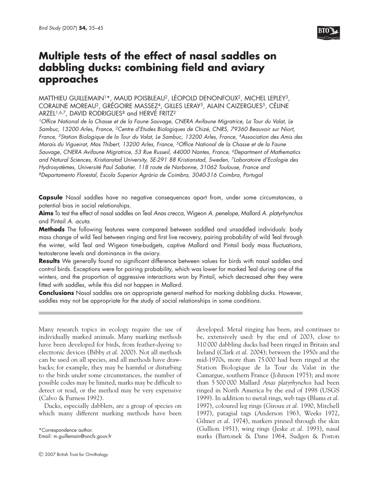

# **Multiple tests of the effect of nasal saddles on dabbling ducks: combining field and aviary approaches**

MATTHIEU GUILLEMAIN1\*, MAUD POISBLEAU2, LÉOPOLD DENONFOUX2, MICHEL LEPLEY3, CORALINE MOREAU2, GRÉGOIRE MASSEZ4, GILLES LERAY5, ALAIN CAIZERGUES5, CÉLINE ARZEL<sup>1,6,7</sup>, DAVID RODRIGUES<sup>8</sup> and HERVÉ FRITZ<sup>2</sup>

<sup>1</sup>Office National de la Chasse et de la Faune Sauvage, CNERA Avifaune Migratrice, La Tour du Valat, Le Sambuc, 13200 Arles, France, 2Centre d'Etudes Biologiques de Chizé, CNRS, 79360 Beauvoir sur Niort, France, <sup>3</sup>Station Biologique de la Tour du Valat, Le Sambuc, 13200 Arles, France, <sup>4</sup>Association des Amis des Marais du Vigueirat, Mas Thibert, 13200 Arles, France, 5Office National de la Chasse et de la Faune Sauvage, CNERA Avifaune Migratrice, 53 Rue Russeil, 44000 Nantes, France, 6Department of Mathematics and Natural Sciences, Kristianstad University, SE-291 88 Kristianstad, Sweden, 7Laboratoire d'Ecologie des Hydrosystèmes, Université Paul Sabatier, 118 route de Narbonne, 31062 Toulouse, France and <sup>8</sup>Departamento Florestal, Escola Superior Agrária de Coimbra, 3040-316 Coimbra, Portugal

**Capsule** Nasal saddles have no negative consequences apart from, under some circumstances, a potential bias in social relationships.

**Aims** To test the effect of nasal saddles on Teal Anas crecca, Wigeon A. penelope, Mallard A. platyrhynchos and Pintail A. acuta.

**Methods** The following features were compared between saddled and unsaddled individuals: body mass change of wild Teal between ringing and first live recovery, pairing probability of wild Teal through the winter, wild Teal and Wigeon time-budgets, captive Mallard and Pintail body mass fluctuations, testosterone levels and dominance in the aviary.

**Results** We generally found no significant difference between values for birds with nasal saddles and control birds. Exceptions were for pairing probability, which was lower for marked Teal during one of the winters, and the proportion of aggressive interactions won by Pintail, which decreased after they were fitted with saddles, while this did not happen in Mallard.

**Conclusions** Nasal saddles are an appropriate general method for marking dabbling ducks. However, saddles may not be appropriate for the study of social relationships in some conditions.

Many research topics in ecology require the use of individually marked animals. Many marking methods have been developed for birds, from feather-dyeing to electronic devices (Bibby *et al.* 2000). Not all methods can be used on all species, and all methods have drawbacks; for example, they may be harmful or disturbing to the birds under some circumstances, the number of possible codes may be limited, marks may be difficult to detect or read, or the method may be very expensive (Calvo & Furness 1992).

Ducks, especially dabblers, are a group of species on which many different marking methods have been developed. Metal ringing has been, and continues to be, extensively used: by the end of 2003, close to 310 000 dabbling ducks had been ringed in Britain and Ireland (Clark *et al.* 2004); between the 1950s and the mid-1970s, more than 75 000 had been ringed at the Station Biologique de la Tour du Valat in the Camargue, southern France (Johnson 1975); and more than 5 500 000 Mallard *Anas platyrhynchos* had been ringed in North America by the end of 1998 (USGS 1999). In addition to metal rings, web tags (Blums *et al.* 1997), coloured leg rings (Giroux *et al.* 1990, Mitchell 1997), patagial tags (Anderson 1963, Weeks 1972, Gilmer *et al.* 1974), markers pinned through the skin (Gullion 1951), wing rings (Jeske *et al.* 1993), nasal marks (Bartonek & Dane 1964, Sudgen & Poston

<sup>\*</sup>Correspondence author. Email: m.guillemain@oncfs.gouv.fr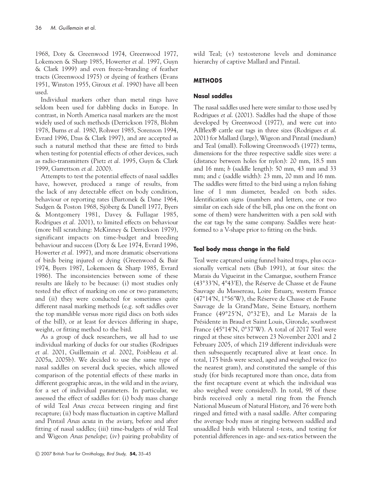1968, Doty & Greenwood 1974, Greenwood 1977, Lokemoen & Sharp 1985, Howerter *et al.* 1997, Guyn & Clark 1999) and even freeze-branding of feather tracts (Greenwood 1975) or dyeing of feathers (Evans 1951, Winston 1955, Giroux *et al.* 1990) have all been used.

Individual markers other than metal rings have seldom been used for dabbling ducks in Europe. In contrast, in North America nasal markers are the most widely used of such methods (Derrickson 1978, Blohm 1978, Burns *et al.* 1980, Rohwer 1985, Sorenson 1994, Evrard 1996, Dzus & Clark 1997), and are accepted as such a natural method that these are fitted to birds when testing for potential effects of other devices, such as radio-transmitters (Pietz *et al.* 1995, Guyn & Clark 1999, Garrettson *et al.* 2000).

Attempts to test the potential effects of nasal saddles have, however, produced a range of results, from the lack of any detectable effect on body condition, behaviour or reporting rates (Bartonek & Dane 1964, Sudgen & Poston 1968, Sjöberg & Danell 1977, Byers & Montgomery 1981, Davey & Fullagar 1985, Rodrigues *et al.* 2001), to limited effects on behaviour (more bill scratching: McKinney & Derrickson 1979), significant impacts on time-budget and breeding behaviour and success (Doty & Lee 1974, Evrard 1996, Howerter *et al.* 1997), and more dramatic observations of birds being injured or dying (Greenwood & Bair 1974, Byers 1987, Lokemoen & Sharp 1985, Evrard 1986). The inconsistencies between some of these results are likely to be because: (i) most studies only tested the effect of marking on one or two parameters; and (ii) they were conducted for sometimes quite different nasal marking methods (e.g*.* soft saddles over the top mandible versus more rigid discs on both sides of the bill), or at least for devices differing in shape, weight, or fitting method to the bird.

As a group of duck researchers, we all had to use individual marking of ducks for our studies (Rodrigues *et al.* 2001, Guillemain *et al.* 2002, Poisbleau *et al.* 2005a, 2005b). We decided to use the same type of nasal saddles on several duck species, which allowed comparison of the potential effects of these marks in different geographic areas, in the wild and in the aviary, for a set of individual parameters. In particular, we assessed the effect of saddles for: (i) body mass change of wild Teal *Anas crecca* between ringing and first recapture; (ii) body mass fluctuation in captive Mallard and Pintail *Anas acuta* in the aviary, before and after fitting of nasal saddles; (iii) time-budgets of wild Teal and Wigeon *Anas penelope*; (iv) pairing probability of wild Teal; (v) testosterone levels and dominance hierarchy of captive Mallard and Pintail.

# **METHODS**

# **Nasal saddles**

The nasal saddles used here were similar to those used by Rodrigues *et al*. (2001). Saddles had the shape of those developed by Greenwood (1977), and were cut into Allflex® cattle ear tags in three sizes (Rodrigues *et al*. 2001) for Mallard (large), Wigeon and Pintail (medium) and Teal (small). Following Greenwood's (1977) terms, dimensions for the three respective saddle sizes were: *a* (distance between holes for nylon): 20 mm, 18.5 mm and 16 mm; *b* (saddle length): 50 mm, 43 mm and 33 mm; and *c* (saddle width): 23 mm, 20 mm and 16 mm. The saddles were fitted to the bird using a nylon fishing line of 1 mm diameter, beaded on both sides. Identification signs (numbers and letters, one or two similar on each side of the bill, plus one on the front on some of them) were handwritten with a pen sold with the ear tags by the same company. Saddles were heatformed to a V-shape prior to fitting on the birds.

# **Teal body mass change in the field**

Teal were captured using funnel baited traps, plus occasionally vertical nets (Bub 1991), at four sites: the Marais du Vigueirat in the Camargue, southern France (43°33′N, 4°43′E), the Réserve de Chasse et de Faune Sauvage du Massereau, Loire Estuary, western France (47°14′N, 1°56′W), the Réserve de Chasse et de Faune Sauvage de la Grand'Mare, Seine Estuary, northern France (49°25′N, 0°32′E), and Le Marais de la Présidente in Braud et Saint Louis, Gironde, southwest France (45°14′N, 0°37′W). A total of 2017 Teal were ringed at these sites between 23 November 2001 and 2 February 2005, of which 219 different individuals were then subsequently recaptured alive at least once. In total, 175 birds were sexed, aged and weighed twice (to the nearest gram), and constituted the sample of this study (for birds recaptured more than once, data from the first recapture event at which the individual was also weighed were considered). In total, 98 of these birds received only a metal ring from the French National Museum of Natural History, and 76 were both ringed and fitted with a nasal saddle. After comparing the average body mass at ringing between saddled and unsaddled birds with bilateral *t*-tests, and testing for potential differences in age- and sex-ratios between the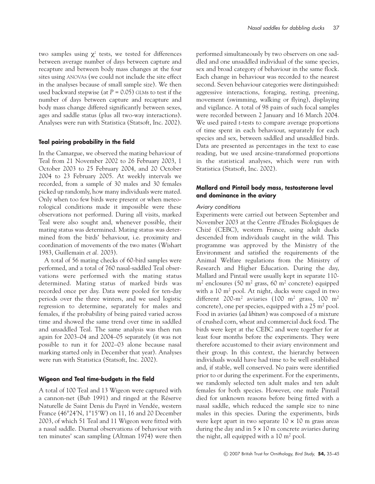two samples using  $\chi^2$  tests, we tested for differences between average number of days between capture and recapture and between body mass changes at the four sites using ANOVAs (we could not include the site effect in the analyses because of small sample size). We then used backward stepwise (at  $P = 0.05$ ) GLMs to test if the number of days between capture and recapture and body mass change differed significantly between sexes, ages and saddle status (plus all two-way interactions). Analyses were run with Statistica (Statsoft, Inc. 2002).

## **Teal pairing probability in the field**

In the Camargue, we observed the mating behaviour of Teal from 21 November 2002 to 26 February 2003, 1 October 2003 to 25 February 2004, and 20 October 2004 to 23 February 2005. At weekly intervals we recorded, from a sample of 30 males and 30 females picked up randomly, how many individuals were mated. Only when too few birds were present or when meteorological conditions made it impossible were these observations not performed. During all visits, marked Teal were also sought and, whenever possible, their mating status was determined. Mating status was determined from the birds' behaviour, i.e. proximity and coordination of movements of the two mates (Wishart 1983, Guillemain *et al.* 2003).

A total of 56 mating checks of 60-bird samples were performed, and a total of 760 nasal-saddled Teal observations were performed with the mating status determined. Mating status of marked birds was recorded once per day. Data were pooled for ten-day periods over the three winters, and we used logistic regression to determine, separately for males and females, if the probability of being paired varied across time and showed the same trend over time in saddled and unsaddled Teal. The same analysis was then run again for 2003–04 and 2004–05 separately (it was not possible to run it for 2002–03 alone because nasal marking started only in December that year). Analyses were run with Statistica (Statsoft, Inc. 2002).

## **Wigeon and Teal time-budgets in the field**

A total of 100 Teal and 13 Wigeon were captured with a cannon-net (Bub 1991) and ringed at the Réserve Naturelle de Saint Denis du Payré in Vendée, western France (46°24′N, 1°15′W) on 11, 16 and 20 December 2003, of which 51 Teal and 11 Wigeon were fitted with a nasal saddle. Diurnal observations of behaviour with ten minutes' scan sampling (Altman 1974) were then performed simultaneously by two observers on one saddled and one unsaddled individual of the same species, sex and broad category of behaviour in the same flock. Each change in behaviour was recorded to the nearest second. Seven behaviour categories were distinguished: aggressive interactions, foraging, resting, preening, movement (swimming, walking or flying), displaying and vigilance. A total of 98 pairs of such focal samples were recorded between 2 January and 16 March 2004. We used paired *t*-tests to compare average proportions of time spent in each behaviour, separately for each species and sex, between saddled and unsaddled birds. Data are presented as percentages in the text to ease reading, but we used arcsine-transformed proportions in the statistical analyses, which were run with Statistica (Statsoft, Inc. 2002).

## **Mallard and Pintail body mass, testosterone level and dominance in the aviary**

## Aviary conditions

Experiments were carried out between September and November 2003 at the Centre d'Etudes Biologiques de Chizé (CEBC), western France, using adult ducks descended from individuals caught in the wild. This programme was approved by the Ministry of the Environment and satisfied the requirements of the Animal Welfare regulations from the Ministry of Research and Higher Education. During the day, Mallard and Pintail were usually kept in separate 110  $m<sup>2</sup>$  enclosures (50 m<sup>2</sup> grass, 60 m<sup>2</sup> concrete) equipped with a 10 m<sup>2</sup> pool. At night, ducks were caged in two different 200-m<sup>2</sup> aviaries (100 m<sup>2</sup> grass, 100 m<sup>2</sup> concrete), one per species, equipped with a  $25 \text{ m}^2$  pool. Food in aviaries (*ad libitum*) was composed of a mixture of crushed corn, wheat and commercial duck food. The birds were kept at the CEBC and were together for at least four months before the experiments. They were therefore accustomed to their aviary environment and their group. In this context, the hierarchy between individuals would have had time to be well established and, if stable, well conserved. No pairs were identified prior to or during the experiment. For the experiments, we randomly selected ten adult males and ten adult females for both species. However, one male Pintail died for unknown reasons before being fitted with a nasal saddle, which reduced the sample size to nine males in this species. During the experiments, birds were kept apart in two separate  $10 \times 10$  m grass areas during the day and in  $5 \times 10$  m concrete aviaries during the night, all equipped with a  $10 \text{ m}^2$  pool.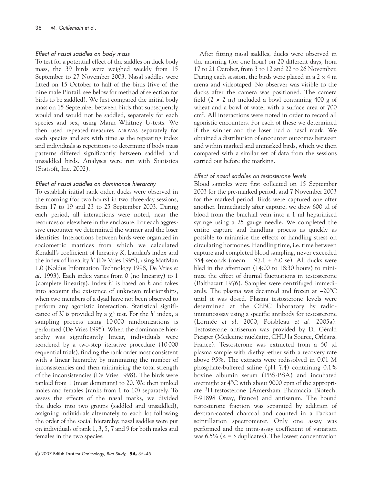## Effect of nasal saddles on body mass

To test for a potential effect of the saddles on duck body mass, the 39 birds were weighed weekly from 15 September to 27 November 2003. Nasal saddles were fitted on 15 October to half of the birds (five of the nine male Pintail; see below for method of selection for birds to be saddled). We first compared the initial body mass on 15 September between birds that subsequently would and would not be saddled, separately for each species and sex, using Mann–Whitney *U*-tests. We then used repeated-measures ANOVAs separately for each species and sex with time as the repeating index and individuals as repetitions to determine if body mass patterns differed significantly between saddled and unsaddled birds. Analyses were run with Statistica (Statsoft, Inc. 2002).

## Effect of nasal saddles on dominance hierarchy

To establish initial rank order, ducks were observed in the morning (for two hours) in two three-day sessions, from 17 to 19 and 23 to 25 September 2003. During each period, all interactions were noted, near the resources or elsewhere in the enclosure. For each aggressive encounter we determined the winner and the loser identities. Interactions between birds were organized in sociometric matrices from which we calculated Kendall's coefficient of linearity *K*, Landau's index and the index of linearity *h'* (De Vries 1995), using MatMan 1.0 (Noldus Information Technology 1998, De Vries *et al.* 1993). Each index varies from 0 (no linearity) to 1 (complete linearity). Index *h'* is based on *h* and takes into account the existence of unknown relationships, when two members of a dyad have not been observed to perform any agonistic interaction. Statistical significance of *K* is provided by a  $\chi^2$  test. For the *h*' index, a sampling process using 10 000 randomizations is performed (De Vries 1995). When the dominance hierarchy was significantly linear, individuals were reordered by a two-step iterative procedure (10 000 sequential trials), finding the rank order most consistent with a linear hierarchy by minimizing the number of inconsistencies and then minimizing the total strength of the inconsistencies (De Vries 1998). The birds were ranked from 1 (most dominant) to 20. We then ranked males and females (ranks from 1 to 10) separately. To assess the effects of the nasal marks, we divided the ducks into two groups (saddled and unsaddled), assigning individuals alternately to each lot following the order of the social hierarchy: nasal saddles were put on individuals of rank 1, 3, 5, 7 and 9 for both males and females in the two species.

After fitting nasal saddles, ducks were observed in the morning (for one hour) on 20 different days, from 17 to 21 October, from 3 to 12 and 22 to 26 November. During each session, the birds were placed in a  $2 \times 4$  m arena and videotaped. No observer was visible to the ducks after the camera was positioned. The camera field  $(2 \times 2 \text{ m})$  included a bowl containing 400 g of wheat and a bowl of water with a surface area of 700 cm2. All interactions were noted in order to record all agonistic encounters. For each of these we determined if the winner and the loser had a nasal mark. We obtained a distribution of encounter outcomes between and within marked and unmarked birds, which we then compared with a similar set of data from the sessions carried out before the marking.

## Effect of nasal saddles on testosterone levels

Blood samples were first collected on 15 September 2003 for the pre-marked period, and 7 November 2003 for the marked period. Birds were captured one after another. Immediately after capture, we drew 600 µl of blood from the brachial vein into a 1 ml heparinized syringe using a 25 gauge needle. We completed the entire capture and handling process as quickly as possible to minimize the effects of handling stress on circulating hormones. Handling time, i.e. time between capture and completed blood sampling, never exceeded 354 seconds (mean =  $97.1 \pm 6.0$  se). All ducks were bled in the afternoon (14:00 to 18:30 hours) to minimize the effect of diurnal fluctuations in testosterone (Balthazart 1976). Samples were centrifuged immediately. The plasma was decanted and frozen at −20°C until it was dosed. Plasma testosterone levels were determined at the CEBC laboratory by radioimmunoassay using a specific antibody for testosterone (Lormée *et al.* 2000, Poisbleau *et al.* 2005a). Testosterone antiserum was provided by Dr Gérald Picaper (Medecine nucléaire, CHU la Source, Orléans, France). Testosterone was extracted from a 50 µl plasma sample with diethyl-ether with a recovery rate above 95%. The extracts were redissolved in 0.01 M phosphate-buffered saline (pH 7.4) containing 0.1% bovine albumin serum (PBS-BSA) and incubated overnight at 4°C with about 9000 cpm of the appropriate 3H-testosterone (Amersham Pharmacia Biotech, F-91898 Orsay, France) and antiserum. The bound testosterone fraction was separated by addition of dextran-coated charcoal and counted in a Packard scintillation spectrometer. Only one assay was performed and the intra-assay coefficient of variation was 6.5% (*n* = 3 duplicates). The lowest concentration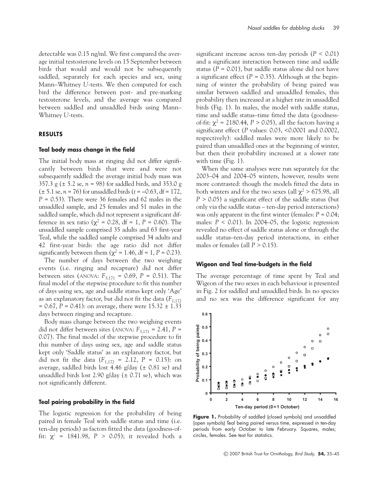detectable was 0.15 ng/ml. We first compared the average initial testosterone levels on 15 September between birds that would and would not be subsequently saddled, separately for each species and sex, using Mann–Whitney *U*-tests. We then computed for each bird the difference between post- and pre-marking testosterone levels, and the average was compared between saddled and unsaddled birds using Mann– Whitney *U*-tests.

## **RESULTS**

## **Teal body mass change in the field**

The initial body mass at ringing did not differ significantly between birds that were and were not subsequently saddled: the average initial body mass was 357.3 g (± 5.2 se, *n* = 98) for saddled birds, and 353.0 g (± 5.1 se, *n* = 76) for unsaddled birds (*t* = −0.63, df = 172, *P* = 0.53). There were 36 females and 62 males in the unsaddled sample, and 25 females and 51 males in the saddled sample, which did not represent a significant difference in sex ratio ( $χ² = 0.28$ , df = 1, P = 0.60). The unsaddled sample comprised 35 adults and 63 first-year Teal, while the saddled sample comprised 34 adults and 42 first-year birds: the age ratio did not differ significantly between them ( $\chi^2$  = 1.46, df = 1, P = 0.23).

The number of days between the two weighing events (i.e. ringing and recapture) did not differ between sites (ANOVA:  $F_{3,171} = 0.69$ ,  $P = 0.51$ ). The final model of the stepwise procedure to fit this number of days using sex, age and saddle status kept only 'Age' as an explanatory factor, but did not fit the data  $(F_{1,172})$  $= 0.67, P = 0.41$ : on average, there were  $15.32 \pm 1.33$ days between ringing and recapture.

Body mass change between the two weighing events did not differ between sites (ANOVA:  $F_{3,171} = 2.41$ ,  $P =$ 0.07). The final model of the stepwise procedure to fit this number of days using sex, age and saddle status kept only 'Saddle status' as an explanatory factor, but did not fit the data  $(F_{1,172} = 2.12, P = 0.15)$ : on average, saddled birds lost 4.46 g/day ( $\pm$  0.81 se) and unsaddled birds lost 2.90 g/day ( $\pm$  0.71 se), which was not significantly different.

#### **Teal pairing probability in the field**

The logistic regression for the probability of being paired in female Teal with saddle status and time (i.e. ten-day periods) as factors fitted the data (goodness-offit:  $\chi^2$  = 1841.98, *P* > 0.05); it revealed both a significant increase across ten-day periods (*P* < 0.01) and a significant interaction between time and saddle status ( $P = 0.01$ ), but saddle status alone did not have a significant effect  $(P = 0.35)$ . Although at the beginning of winter the probability of being paired was similar between saddled and unsaddled females, this probability then increased at a higher rate in unsaddled birds (Fig. 1). In males, the model with saddle status, time and saddle status–time fitted the data (goodnessof-fit:  $\chi^2$  = 2180.44, *P* > 0.05), all the factors having a significant effect (*P* values: 0.03, <0.0001 and 0.0002, respectively): saddled males were more likely to be paired than unsaddled ones at the beginning of winter, but then their probability increased at a slower rate with time (Fig. 1).

When the same analyses were run separately for the 2003–04 and 2004–05 winters, however, results were more contrasted: though the models fitted the data in both winters and for the two sexes (all  $\chi^2 > 675.98$ , all *P* > 0.05) a significant effect of the saddle status (but only via the saddle status – ten-day period interactions) was only apparent in the first winter (females: *P* = 0.04; males:  $P < 0.01$ ). In 2004–05, the logistic regression revealed no effect of saddle status alone or through the saddle status–ten-day period interactions, in either males or females (all  $P > 0.15$ ).

#### **Wigeon and Teal time-budgets in the field**

The average percentage of time spent by Teal and Wigeon of the two sexes in each behaviour is presented in Fig. 2 for saddled and unsaddled birds. In no species and no sex was the difference significant for any



Figure 1. Probability of saddled (closed symbols) and unsaddled (open symbols) Teal being paired versus time, expressed in ten-day periods from early October to late February. Squares, males; circles, females. See text for statistics.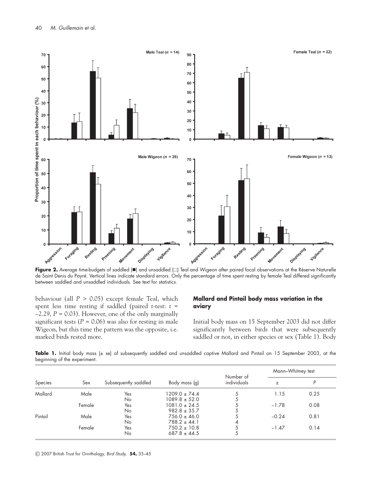

Figure 2. Average time-budgets of saddled ( $\blacksquare$ ) and unsaddled ( $\square$ ) Teal and Wigeon after paired focal observations at the Réserve Naturelle de Saint Denis du Payré. Vertical lines indicate standard errors. Only the percentage of time spent resting by female Teal differed significantly between saddled and unsaddled individuals. See text for statistics.

behaviour (all *P* > 0.05) except female Teal, which spent less time resting if saddled (paired *t*-test: *t* =  $-2.29$ ,  $P = 0.03$ ). However, one of the only marginally significant tests  $(P = 0.06)$  was also for resting in male Wigeon, but this time the pattern was the opposite, i.e. marked birds rested more.

## **Mallard and Pintail body mass variation in the aviary**

Initial body mass on 15 September 2003 did not differ significantly between birds that were subsequently saddled or not, in either species or sex (Table 1). Body

Table 1. Initial body mass (± se) of subsequently saddled and unsaddled captive Mallard and Pintail on 15 September 2003, at the beginning of the experiment.

| Species | Sex    | Subsequently saddled | Body mass (g)     | Number of<br>individuals | Mann-Whitney test |      |
|---------|--------|----------------------|-------------------|--------------------------|-------------------|------|
|         |        |                      |                   |                          | Z                 |      |
| Mallard | Male   | Yes                  | 1209.0 ± 74.4     | 5                        | 1.15              | 0.25 |
|         |        | No                   | $1089.8 \pm 52.0$ |                          |                   |      |
|         | Female | Yes                  | $1081.0 \pm 24.5$ |                          | $-1.78$           | 0.08 |
|         |        | No                   | $982.8 \pm 35.7$  | 5                        |                   |      |
| Pintail | Male   | Yes                  | $756.0 \pm 46.0$  | 5                        | $-0.24$           | 0.81 |
|         |        | No                   | $788.2 \pm 44.1$  | 4                        |                   |      |
|         | Female | Yes                  | $750.2 \pm 10.8$  | 5                        | $-1.47$           | 0.14 |
|         |        | No                   | $687.8 \pm 44.5$  | 5                        |                   |      |

© 2007 British Trust for Ornithology, Bird Study, **54,** 35–45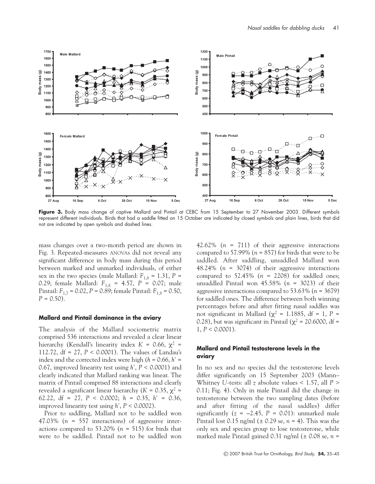

Figure 3. Body mass change of captive Mallard and Pintail at CEBC from 15 September to 27 November 2003. Different symbols represent different individuals. Birds that had a saddle fitted on 15 October are indicated by closed symbols and plain lines, birds that did not are indicated by open symbols and dashed lines.

mass changes over a two-month period are shown in Fig. 3. Repeated-measures ANOVAs did not reveal any significant difference in body mass during this period between marked and unmarked individuals, of either sex in the two species (male Mallard:  $F_{1,8} = 1.31$ ,  $P =$ 0.29; female Mallard: *F*1,8 = 4.57, *P* = 0.07; male Pintail:  $F_{1,7}$  = 0.02, *P* = 0.89; female Pintail:  $F_{1,8}$  = 0.50,  $P = 0.50$ .

#### **Mallard and Pintail dominance in the aviary**

The analysis of the Mallard sociometric matrix comprised 536 interactions and revealed a clear linear hierarchy (Kendall's linearity index  $K = 0.66$ ,  $χ² =$ 112.72, df = 27, *P* < 0.0001). The values of Landau's index and the corrected index were high  $(h = 0.66, h)$ 0.67, improved linearity test using *h'*, *P* < 0.0001) and clearly indicated that Mallard ranking was linear. The matrix of Pintail comprised 88 interactions and clearly revealed a significant linear hierarchy ( $K = 0.35$ ,  $χ² =$ 62.22, df = 27, *P* < 0.0002; *h* = 0.35, *h'* = 0.36, improved linearity test using *h'*, *P* < 0.0002).

Prior to saddling, Mallard not to be saddled won 47.03% (*n* = 557 interactions) of aggressive interactions compared to 53.20% (*n* = 515) for birds that were to be saddled. Pintail not to be saddled won

42.62% (*n* = 711) of their aggressive interactions compared to 57.99% ( $n = 857$ ) for birds that were to be saddled. After saddling, unsaddled Mallard won 48.24% (*n* = 3074) of their aggressive interactions compared to 52.45% (*n* = 2208) for saddled ones; unsaddled Pintail won 45.58% (*n* = 3023) of their aggressive interactions compared to 53.63% (*n* = 3679) for saddled ones. The difference between both winning percentages before and after fitting nasal saddles was not significant in Mallard ( $χ² = 1.1885$ , df = 1, P = 0.28), but was significant in Pintail ( $\chi^2$  = 20.6000, df = 1,  $P < 0.0001$ ).

# **Mallard and Pintail testosterone levels in the aviary**

In no sex and no species did the testosterone levels differ significantly on 15 September 2003 (Mann– Whitney *U*-tests: all *z* absolute values < 1.57, all *P* > 0.11; Fig. 4). Only in male Pintail did the change in testosterone between the two sampling dates (before and after fitting of the nasal saddles) differ significantly  $(z = -2.45, P = 0.01)$ : unmarked male Pintail lost 0.15 ng/ml (± 0.29 se, *n* = 4). This was the only sex and species group to lose testosterone, while marked male Pintail gained 0.31 ng/ml (± 0.08 se, *n* =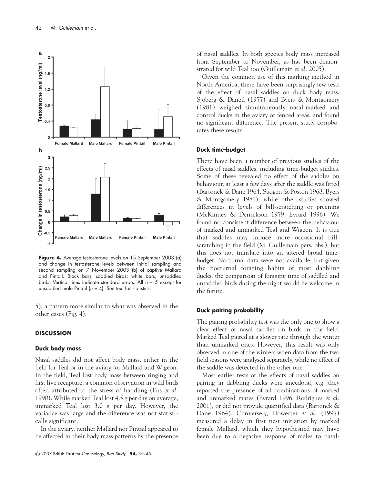

**Figure 4.** Average testosterone levels on 15 September 2003 (a) and change in testosterone levels between initial sampling and second sampling on 7 November 2003 (b) of captive Mallard and Pintail. Black bars, saddled birds; white bars, unsaddled birds. Vertical lines indicate standard errors. All  $n = 5$  except for unsaddled male Pintail ( $n = 4$ ). See text for statistics.

5), a pattern more similar to what was observed in the other cases (Fig. 4).

## **DISCUSSION**

#### **Duck body mass**

Nasal saddles did not affect body mass, either in the field for Teal or in the aviary for Mallard and Wigeon. In the field, Teal lost body mass between ringing and first live recapture, a common observation in wild birds often attributed to the stress of handling (Ens *et al.* 1990). While marked Teal lost 4.5 g per day on average, unmarked Teal lost 3.0 g per day. However, the variance was large and the difference was not statistically significant.

In the aviary, neither Mallard nor Pintail appeared to be affected in their body mass patterns by the presence of nasal saddles. In both species body mass increased from September to November, as has been demonstrated for wild Teal too (Guillemain *et al.* 2005).

Given the common use of this marking method in North America, there have been surprisingly few tests of the effect of nasal saddles on duck body mass. Sjöberg & Danell (1977) and Byers & Montgomery (1981) weighed simultaneously nasal-marked and control ducks in the aviary or fenced areas, and found no significant difference. The present study corroborates these results.

## **Duck time-budget**

There have been a number of previous studies of the effects of nasal saddles, including time-budget studies. Some of these revealed no effect of the saddles on behaviour, at least a few days after the saddle was fitted (Bartonek & Dane 1964, Sudgen & Poston 1968, Byers & Montgomery 1981), while other studies showed differences in levels of bill-scratching or preening (McKinney & Derrickson 1979, Evrard 1996). We found no consistent difference between the behaviour of marked and unmarked Teal and Wigeon. It is true that saddles may induce more occasional billscratching in the field (M .Guillemain pers. obs.), but this does not translate into an altered broad timebudget. Nocturnal data were not available, but given the nocturnal foraging habits of most dabbling ducks, the comparison of foraging time of saddled and unsaddled birds during the night would be welcome in the future.

## **Duck pairing probability**

The pairing probability test was the only one to show a clear effect of nasal saddles on birds in the field. Marked Teal paired at a slower rate through the winter than unmarked ones. However, this result was only observed in one of the winters when data from the two field seasons were analysed separately, while no effect of the saddle was detected in the other one.

Most earlier tests of the effects of nasal saddles on pairing in dabbling ducks were anecdotal, e.g. they reported the presence of all combinations of marked and unmarked mates (Evrard 1996, Rodrigues *et al.* 2001), or did not provide quantified data (Bartonek & Dane 1964). Conversely, Howerter *et al.* (1997) measured a delay in first nest initiation by marked female Mallard, which they hypothesized may have been due to a negative response of males to nasal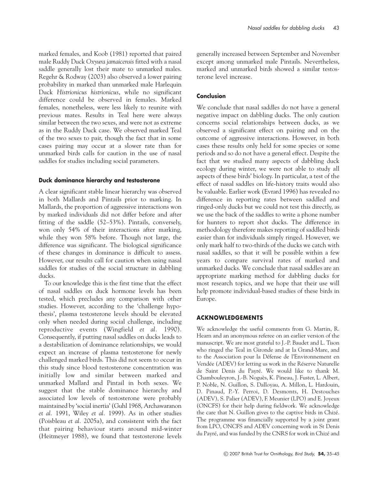marked females, and Koob (1981) reported that paired male Ruddy Duck *Oxyura jamaicensis* fitted with a nasal saddle generally lost their mate to unmarked males. Regehr & Rodway (2003) also observed a lower pairing probability in marked than unmarked male Harlequin Duck *Histrionicus histrionicus*, while no significant difference could be observed in females. Marked females, nonetheless, were less likely to reunite with previous mates. Results in Teal here were always similar between the two sexes, and were not as extreme as in the Ruddy Duck case. We observed marked Teal of the two sexes to pair, though the fact that in some cases pairing may occur at a slower rate than for unmarked birds calls for caution in the use of nasal saddles for studies including social parameters.

# **Duck dominance hierarchy and testosterone**

A clear significant stable linear hierarchy was observed in both Mallards and Pintails prior to marking. In Mallards, the proportion of aggressive interactions won by marked individuals did not differ before and after fitting of the saddle (52–53%). Pintails, conversely, won only 54% of their interactions after marking, while they won 58% before. Though not large, the difference was significant. The biological significance of these changes in dominance is difficult to assess. However, our results call for caution when using nasal saddles for studies of the social structure in dabbling ducks.

To our knowledge this is the first time that the effect of nasal saddles on duck hormone levels has been tested, which precludes any comparison with other studies. However, according to the 'challenge hypothesis', plasma testosterone levels should be elevated only when needed during social challenge, including reproductive events (Wingfield *et al.* 1990). Consequently, if putting nasal saddles on ducks leads to a destabilization of dominance relationships, we would expect an increase of plasma testosterone for newly challenged marked birds. This did not seem to occur in this study since blood testosterone concentration was initially low and similar between marked and unmarked Mallard and Pintail in both sexes. We suggest that the stable dominance hierarchy and associated low levels of testosterone were probably maintained by 'social inertia' (Guhl 1968, Archawaranon *et al.* 1991, Wiley *et al.* 1999). As in other studies (Poisbleau *et al.* 2005a), and consistent with the fact that pairing behaviour starts around mid-winter (Heitmeyer 1988), we found that testosterone levels generally increased between September and November except among unmarked male Pintails. Nevertheless, marked and unmarked birds showed a similar testosterone level increase.

# **Conclusion**

We conclude that nasal saddles do not have a general negative impact on dabbling ducks. The only caution concerns social relationships between ducks, as we observed a significant effect on pairing and on the outcome of aggressive interactions. However, in both cases these results only held for some species or some periods and so do not have a general effect. Despite the fact that we studied many aspects of dabbling duck ecology during winter, we were not able to study all aspects of these birds' biology. In particular, a test of the effect of nasal saddles on life-history traits would also be valuable. Earlier work (Evrard 1996) has revealed no difference in reporting rates between saddled and ringed-only ducks but we could not test this directly, as we use the back of the saddles to write a phone number for hunters to report shot ducks. The difference in methodology therefore makes reporting of saddled birds easier than for individuals simply ringed. However, we only mark half to two-thirds of the ducks we catch with nasal saddles, so that it will be possible within a few years to compare survival rates of marked and unmarked ducks. We conclude that nasal saddles are an appropriate marking method for dabbling ducks for most research topics, and we hope that their use will help promote individual-based studies of these birds in Europe.

# **ACKNOWLEDGEMENTS**

We acknowledge the useful comments from G. Martin, R. Hearn and an anonymous referee on an earlier version of the manuscript. We are most grateful to J.-P. Baudet and L. Tison who ringed the Teal in Gironde and at la Grand-Mare, and to the Association pour la Défense de l'Environnement en Vendée (ADEV) for letting us work in the Réserve Naturelle de Saint Denis du Payré. We would like to thank M. Chambouleyron, J.-B. Noguès, K. Pineau, J. Fuster, L. Albert, P. Noble, N. Guillon, S. Dalloyau, A. Millon, L. Hardouin, D. Pinaud, P.-Y. Perroi, D. Desmonts, H. Destouches (ADEV), S. Palier (ADEV), F. Meunier (LPO) and E. Joyeux (ONCFS) for their help during fieldwork. We acknowledge the care that N. Guillon gives to the captive birds in Chizé. The programme was financially supported by a joint grant from LPO, ONCFS and ADEV concerning work in St Denis du Payré, and was funded by the CNRS for work in Chizé and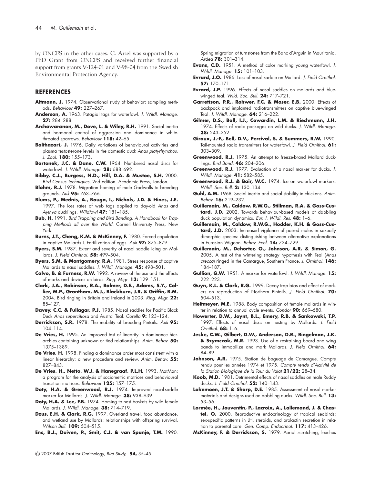by ONCFS in the other cases. C. Arzel was supported by a PhD Grant from ONCFS and received further financial support from grants V-124-01 and V-98-04 from the Swedish Environmental Protection Agency.

#### **REFERENCES**

- **Altmann, J.** 1974. Observational study of behavior: sampling methods. Behaviour **49:** 227–267.
- **Anderson, A.** 1963. Patagial tags for waterfowl. J. Wildl. Manage. **27:** 284–288.
- **Archawaranon, M., Dove, L. & Wiley, R.H.** 1991. Social inertia and hormonal control of aggression and dominance in whitethroated sparrows. Behaviour **118:** 42–65.
- **Balthazart, J.** 1976. Daily variations of behavioural activities and plasma testosterone levels in the domestic duck Anas platyrhynchos. J. Zool. **180:** 155–173.
- **Bartonek, J.C. & Dane, C.W.** 1964. Numbered nasal discs for waterfowl. J. Wildl. Manage. **28:** 688–692.
- **Bibby, C.J., Burgess, N.D., Hill, D.A. & Mustoe, S.H.** 2000. Bird Census Techniques, 2nd edition. Academic Press, London.
- **Blohm, R.J.** 1978. Migration homing of male Gadwalls to breeding grounds. Auk **95:** 763–766.
- **Blums, P., Mednis, A., Bauga, I., Nichols, J.D. & Hines, J.E.** 1997. The loss rates of web tags applied to day-old Anas and Aythya ducklings. Wildfowl **47:** 181–185.
- **Bub, H.** 1991. Bird Trapping and Bird Banding. A Handbook for Trap<sup>p</sup>ing Methods all over the World. Cornell University Press, New York.
- **Burns, J.T., Cheng, K.M. & McKinney, F.** 1980. Forced copulation in captive Mallards I. Fertilization of eggs. Auk **97:** 875–879.
- **Byers, S.M.** 1987. Extent and severity of nasal saddle icing on Mallards. J. Field Ornithol. **58:** 499–504.
- **Byers, S.M. & Montgomery, R.A.** 1981. Stress response of captive Mallards to nasal saddles. J. Wildl. Manage. **45:** 498–501.
- **Calvo, B. & Furness, R.W.** 1992. A review of the use and the effects of marks and devices on birds. Ring. Migr. **13:** 129–151.
- **Clark, J.A., Robinson, R.A., Balmer, D.E., Adams, S.Y., Collier, M.P., Grantham, M.J., Blackburn, J.R. & Griffin, B.M.** 2004. Bird ringing in Britain and Ireland in 2003. Ring. Migr. **22:** 85–127.
- Davey, C.C. & Fullagar, P.J. 1985. Nasal saddles for Pacific Black Duck Anas superciliosa and Austral Teal. Corella **9:** 123–124.
- **Derrickson, S.R.** 1978. The mobility of breeding Pintails. Auk **95:** 104–114.
- De Vries, H. 1995. An improved test of linearity in dominance hierarchies containing unknown or tied relationships. Anim. Behav. **50:** 1375–1389.
- De Vries, H. 1998. Finding a dominance order most consistent with a linear hierarchy: a new procedure and review. Anim. Behav. **55:** 827–843.
- **De Vries, H., Netto, W.J. & Hanegraaf, P.L.H.** 1993. MatMan: a program for the analysis of sociometric matrices and behavioural transition matrices. Behaviour **125:** 157–175.
- Doty, H.A. & Greenwood, R.J. 1974. Improved nasal-saddle marker for Mallards. J. Wildl. Manage. **38:** 938–939.
- Doty, H.A. & Lee, F.B. 1974. Homing to nest baskets by wild female Mallards. J. Wildl. Manage. **38:** 714–719.
- **Dzus, E.H. & Clark, R.G.** 1997. Overland travel, food abundance, and wetland use by Mallards: relationships with offspring survival. Wilson Bull. **109:** 504–515.

**Ens, B.J., Duiven, P., Smit, C.J. & van Spanje, T.M.** 1990.

Spring migration of turnstones from the Banc d'Arguin in Mauritania. Ardea **78:** 301–314.

- **Evans, C.D.** 1951. A method of color marking young waterfowl. J. Wildl. Manage. **15:** 101–103.
- **Evrard, J.O.** 1986. Loss of nasal saddle on Mallard. J. Field Ornithol. **57:** 170–171.
- **Evrard, J.P.** 1996. Effects of nasal saddles on mallards and bluewinged teal. Wild. Soc. Bull. **24:** 717–721.
- **Garrettson, P.R., Rohwer, F.C. & Moser, E.B.** 2000. Effects of backpack and implanted radiotransmitters on captive blue-winged Teal. J. Wildl. Manage. **64:** 216–222.
- **Gilmer, D.S., Ball, I.J., Cowardin, L.M. & Riechmann, J.H.** 1974. Effects of radio packages on wild ducks. J. Wildl. Manage. **38:** 243–252.
- **Giroux, J.-F., Bell, D.V., Percival, S. & Summers, R.W.** 1990. Tail-mounted radio transmitters for waterfowl. J. Field Ornithol. **61:** 303–309.
- **Greenwood, R.J.** 1975. An attempt to freeze-brand Mallard ducklings. Bird Band. **46:** 204–206.
- **Greenwood, R.J.** 1977. Evaluation of a nasal marker for ducks. J. Wildl. Manage. **41:** 582–585.
- **Greenwood, R.J. & Bair, W.C.** 1974. Ice on waterfowl markers. Wildl. Soc. Bull. **2:** 130–134.
- **Guhl, A.M.** 1968. Social inertia and social stability in chickens. Anim. Behav. **16:** 219–232.
- **Guillemain, M., Caldow, R.W.G., Stillman, R.A. & Goss-Custard, J.D.** 2002. Towards behaviour-based models of dabbling duck population dynamics. Eur. J. Wildl. Res. **48:** 1–6.
- **Guillemain, M., Caldow, R.W.G., Hodder, K.H. & Goss-Custard, J.D.** 2003. Increased vigilance of paired males in sexually dimorphic species: distinguishing between alternative explanations in Eurasian Wigeon. Behav. Ecol. **14:** 724–729.
- **Guillemain, M., Dehorter, O., Johnson, A.R. & Simon, G.** 2005. A test of the wintering strategy hypothesis with Teal (Anas crecca) ringed in the Camargue, Southern France. J. Ornithol. **146:** 184–187.
- **Gullion, G.W.** 1951. A marker for waterfowl. J. Wildl. Manage. **15:** 222–223.
- **Guyn, K.L. & Clark, R.G.** 1999. Decoy trap bias and effect of markers on reproduction of Northern Pintails. J. Field Ornithol. **70:** 504–513.
- **Heitmeyer, M.E.** 1988. Body composition of female mallards in winter in relation to annual cycle events. Condor **90:** 669–680.
- **Howerter, D.W., Joynt, B.L., Emery, R.B. & Sankowski, T.P.** 1997. Effects of nasal discs on nesting by Mallards. J. Field Ornithol. **68:** 1–6.
- **Jeske, C.W., Gilbert, D.W., Anderson, D.R., Ringelman, J.K. & Szymczak, M.R.** 1993. Use of a restraining board and wing bands to immobilize and mark Mallards. J. Field Ornithol. **64:** 84–89.
- Johnson, A.R. 1975. Station de baguage de Camargue. Compte rendu pour les années 1974 et 1975. Compte rendu d'Activité de la Station Biologique de la Tour du Valat **21/22:** 28–34.
- **Koob, M.D.** 1981. Detrimental effects of nasal saddles on male Ruddy ducks. J. Field Ornithol. **52:** 140–143.
- **Lokemoen, J.T. & Sharp, D.E.** 1985. Assessment of nasal marker materials and designs used on dabbling ducks. Wildl. Soc. Bull. **13:** 53–56.
- **Lormée, H., Jouventin, P., Lacroix, A., Lallemand, J. & Chastel, O.** 2000. Reproductive endocrinology of tropical seabirds: sex-specific patterns in LH, steroids, and prolactin secretion in relation to parental care. Gen. Comp. Endocrinol. **117:** 413–426.
- **McKinney, F. & Derrickson, S.** 1979. Aerial scratching, leeches